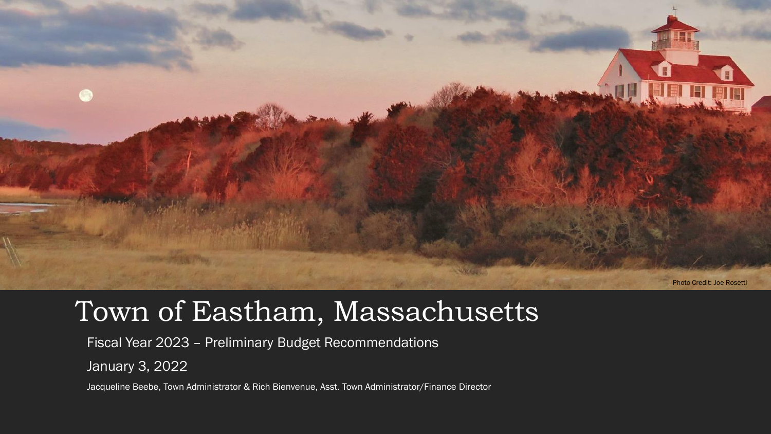

### Town of Eastham, Massachusetts

Fiscal Year 2023 – Preliminary Budget Recommendations

January 3, 2022

Jacqueline Beebe, Town Administrator & Rich Bienvenue, Asst. Town Administrator/Finance Director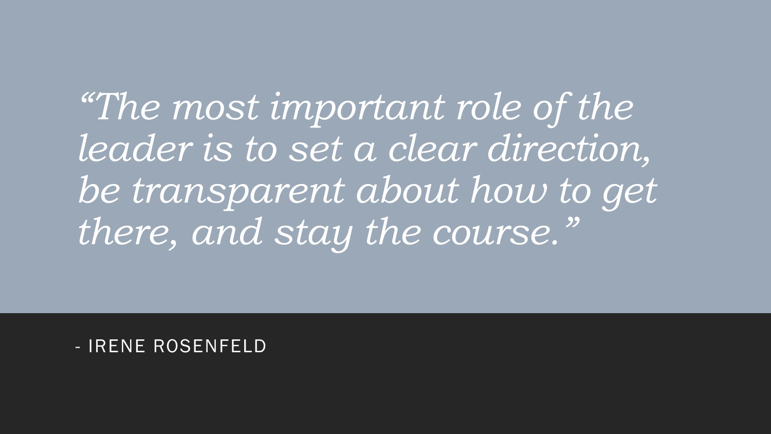*"The most important role of the leader is to set a clear direction, be transparent about how to get there, and stay the course."*

- IRENE ROSENFELD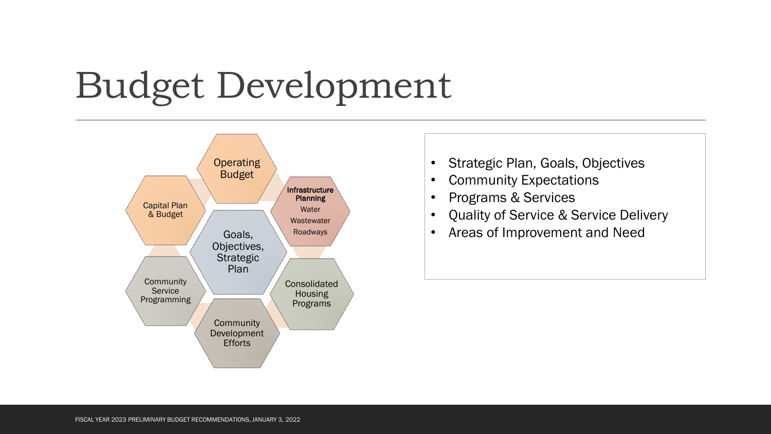# Budget Development



- Strategic Plan, Goals, Objectives
- Community Expectations
- Programs & Services
- Quality of Service & Service Delivery
- Areas of Improvement and Need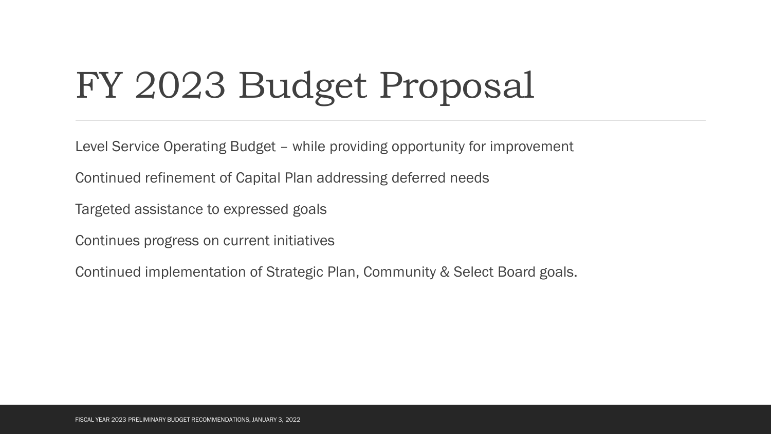# FY 2023 Budget Proposal

Level Service Operating Budget – while providing opportunity for improvement

Continued refinement of Capital Plan addressing deferred needs

Targeted assistance to expressed goals

Continues progress on current initiatives

Continued implementation of Strategic Plan, Community & Select Board goals.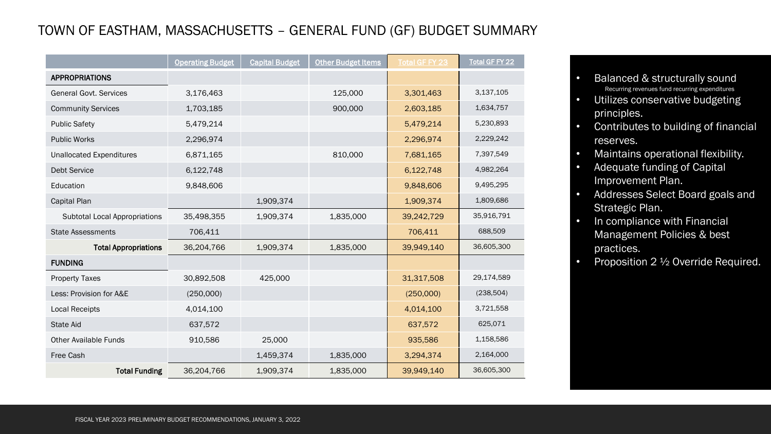#### TOWN OF EASTHAM, MASSACHUSETTS – GENERAL FUND (GF) BUDGET SUMMARY

|                                      | <b>Operating Budget</b> | <b>Capital Budget</b> | <b>Other Budget Items</b> | <b>Total GF FY 23</b> | <b>Total GF FY 22</b> |
|--------------------------------------|-------------------------|-----------------------|---------------------------|-----------------------|-----------------------|
| <b>APPROPRIATIONS</b>                |                         |                       |                           |                       |                       |
| <b>General Govt, Services</b>        | 3,176,463               |                       | 125,000                   | 3,301,463             | 3,137,105             |
| <b>Community Services</b>            | 1,703,185               |                       | 900,000                   | 2,603,185             | 1,634,757             |
| <b>Public Safety</b>                 | 5,479,214               |                       |                           | 5,479,214             | 5,230,893             |
| <b>Public Works</b>                  | 2,296,974               |                       |                           | 2,296,974             | 2,229,242             |
| <b>Unallocated Expenditures</b>      | 6,871,165               |                       | 810,000                   | 7,681,165             | 7,397,549             |
| Debt Service                         | 6,122,748               |                       |                           | 6,122,748             | 4,982,264             |
| Education                            | 9,848,606               |                       |                           | 9,848,606             | 9,495,295             |
| Capital Plan                         |                         | 1,909,374             |                           | 1,909,374             | 1,809,686             |
| <b>Subtotal Local Appropriations</b> | 35,498,355              | 1,909,374             | 1,835,000                 | 39,242,729            | 35,916,791            |
| <b>State Assessments</b>             | 706,411                 |                       |                           | 706,411               | 688,509               |
| <b>Total Appropriations</b>          | 36,204,766              | 1,909,374             | 1,835,000                 | 39,949,140            | 36,605,300            |
| <b>FUNDING</b>                       |                         |                       |                           |                       |                       |
| <b>Property Taxes</b>                | 30,892,508              | 425,000               |                           | 31,317,508            | 29,174,589            |
| Less: Provision for A&E              | (250,000)               |                       |                           | (250,000)             | (238, 504)            |
| <b>Local Receipts</b>                | 4,014,100               |                       |                           | 4,014,100             | 3,721,558             |
| <b>State Aid</b>                     | 637,572                 |                       |                           | 637,572               | 625,071               |
| <b>Other Available Funds</b>         | 910,586                 | 25,000                |                           | 935,586               | 1,158,586             |
| Free Cash                            |                         | 1,459,374             | 1,835,000                 | 3,294,374             | 2,164,000             |
| <b>Total Funding</b>                 | 36,204,766              | 1,909,374             | 1,835,000                 | 39,949,140            | 36,605,300            |

- Balanced & structurally sound Recurring revenues fund recurring expenditures
- Utilizes conservative budgeting principles.
- Contributes to building of financial reserves.
- Maintains operational flexibility.
- Adequate funding of Capital Improvement Plan.
- Addresses Select Board goals and Strategic Plan.
- In compliance with Financial Management Policies & best practices.
- Proposition 2  $\frac{1}{2}$  Override Required.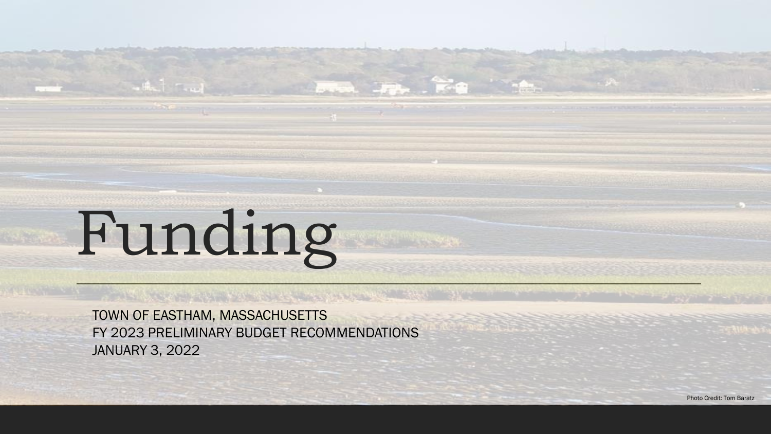# Funding

TOWN OF EASTHAM, MASSACHUSETTS FY 2023 PRELIMINARY BUDGET RECOMMENDATIONS JANUARY 3, 2022

**Second** 2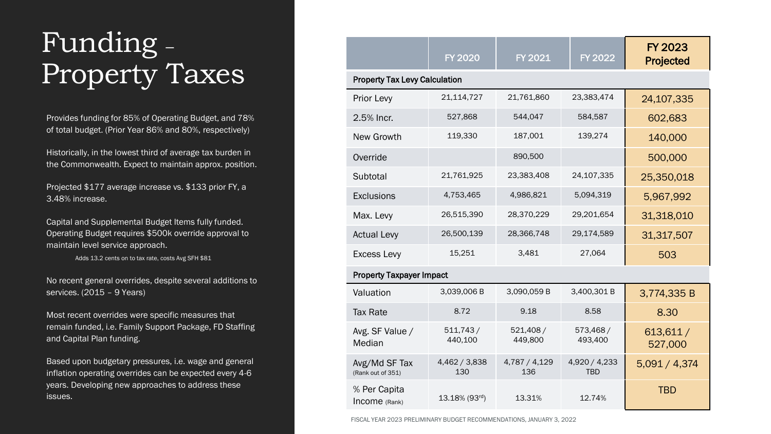## Funding – Property Taxes

Provides funding for 85% of Operating Budget, and 78% of total budget. (Prior Year 86% and 80%, respectively)

Historically, in the lowest third of average tax burden in the Commonwealth. Expect to maintain approx. position.

Projected \$177 average increase vs. \$133 prior FY, a 3.48% increase.

Capital and Supplemental Budget Items fully funded. Operating Budget requires \$500k override approval to maintain level service approach.

Adds 13.2 cents on to tax rate, costs Avg SFH \$81

No recent general overrides, despite several additions to services. (2015 – 9 Years)

Most recent overrides were specific measures that remain funded, i.e. Family Support Package, FD Staffing and Capital Plan funding.

Based upon budgetary pressures, i.e. wage and general inflation operating overrides can be expected every 4-6 years. Developing new approaches to address these issues.

|                                      | <b>FY 2020</b>       | <b>FY 2021</b>       | <b>FY 2022</b>              | FY 2023<br>Projected |  |  |
|--------------------------------------|----------------------|----------------------|-----------------------------|----------------------|--|--|
| <b>Property Tax Levy Calculation</b> |                      |                      |                             |                      |  |  |
| Prior Levy                           | 21,114,727           | 21,761,860           | 23,383,474                  | 24,107,335           |  |  |
| 2.5% Incr.                           | 527,868              | 544,047              | 584,587                     | 602,683              |  |  |
| New Growth                           | 119,330              | 187,001              | 139,274                     | 140,000              |  |  |
| Override                             |                      | 890,500              |                             | 500,000              |  |  |
| Subtotal                             | 21,761,925           | 23,383,408           | 24,107,335                  | 25,350,018           |  |  |
| Exclusions                           | 4,753,465            | 4,986,821            | 5,094,319                   | 5,967,992            |  |  |
| Max. Levy                            | 26,515,390           | 28,370,229           | 29,201,654                  | 31,318,010           |  |  |
| <b>Actual Levy</b>                   | 26,500,139           | 28,366,748           | 29,174,589                  | 31,317,507           |  |  |
| <b>Excess Levy</b>                   | 15,251               | 3,481                | 27,064                      | 503                  |  |  |
| <b>Property Taxpayer Impact</b>      |                      |                      |                             |                      |  |  |
| Valuation                            | 3,039,006 B          | 3,090,059 B          | 3,400,301 B                 | 3,774,335 B          |  |  |
| <b>Tax Rate</b>                      | 8.72                 | 9.18                 | 8.58                        | 8.30                 |  |  |
| Avg. SF Value /<br>Median            | 511,743/<br>440,100  | 521,408/<br>449,800  | 573,468/<br>493,400         | 613,611/<br>527,000  |  |  |
| Avg/Md SF Tax<br>(Rank out of 351)   | 4,462 / 3,838<br>130 | 4,787 / 4,129<br>136 | 4,920 / 4,233<br><b>TBD</b> | 5,091 / 4,374        |  |  |
| % Per Capita<br>Income (Rank)        | 13.18% (93rd)        | 13.31%               | 12.74%                      | <b>TBD</b>           |  |  |

FISCAL YEAR 2023 PRELIMINARY BUDGET RECOMMENDATIONS, JANUARY 3, 2022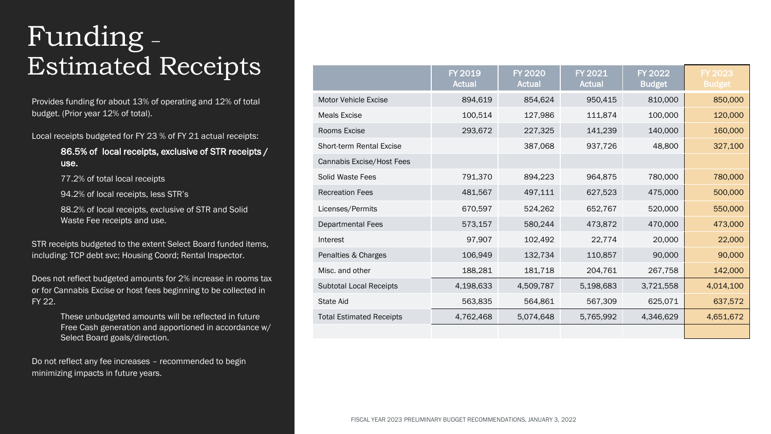## Funding – **Estimated Receipts**

Provides funding for about 13% of operating and 12% of total budget. (Prior year 12% of total).

Local receipts budgeted for FY 23 % of FY 21 actual receipts:

86.5% of local receipts, exclusive of STR receipts / use.

77.2% of total local receipts

94.2% of local receipts, less STR's

88.2% of local receipts, exclusive of STR and Solid Waste Fee receipts and use.

STR receipts budgeted to the extent Select Board funded items, including: TCP debt svc; Housing Coord; Rental Inspector.

Does not reflect budgeted amounts for 2% increase in rooms tax or for Cannabis Excise or host fees beginning to be collected in FY 22.

> These unbudgeted amounts will be reflected in future Free Cash generation and apportioned in accordance w/ Select Board goals/direction.

Do not reflect any fee increases – recommended to begin minimizing impacts in future years.

|                                 | <b>FY 2019</b><br><b>Actual</b> | <b>FY 2020</b><br><b>Actual</b> | <b>FY 2021</b><br><b>Actual</b> | <b>FY 2022</b><br><b>Budget</b> | <b>FY 2023</b><br><b>Budget</b> |
|---------------------------------|---------------------------------|---------------------------------|---------------------------------|---------------------------------|---------------------------------|
| <b>Motor Vehicle Excise</b>     | 894,619                         | 854,624                         | 950,415                         | 810,000                         | 850,000                         |
| <b>Meals Excise</b>             | 100,514                         | 127,986                         | 111,874                         | 100,000                         | 120,000                         |
| Rooms Excise                    | 293,672                         | 227,325                         | 141,239                         | 140,000                         | 160,000                         |
| <b>Short-term Rental Excise</b> |                                 | 387,068                         | 937,726                         | 48,800                          | 327,100                         |
| Cannabis Excise/Host Fees       |                                 |                                 |                                 |                                 |                                 |
| Solid Waste Fees                | 791,370                         | 894,223                         | 964,875                         | 780,000                         | 780,000                         |
| <b>Recreation Fees</b>          | 481,567                         | 497,111                         | 627,523                         | 475,000                         | 500,000                         |
| Licenses/Permits                | 670,597                         | 524,262                         | 652,767                         | 520,000                         | 550,000                         |
| <b>Departmental Fees</b>        | 573,157                         | 580,244                         | 473,872                         | 470,000                         | 473,000                         |
| Interest                        | 97,907                          | 102,492                         | 22,774                          | 20,000                          | 22,000                          |
| Penalties & Charges             | 106,949                         | 132,734                         | 110,857                         | 90,000                          | 90,000                          |
| Misc. and other                 | 188,281                         | 181,718                         | 204,761                         | 267,758                         | 142,000                         |
| <b>Subtotal Local Receipts</b>  | 4,198,633                       | 4,509,787                       | 5,198,683                       | 3,721,558                       | 4,014,100                       |
| State Aid                       | 563,835                         | 564,861                         | 567,309                         | 625,071                         | 637,572                         |
| <b>Total Estimated Receipts</b> | 4,762,468                       | 5,074,648                       | 5,765,992                       | 4,346,629                       | 4,651,672                       |
|                                 |                                 |                                 |                                 |                                 |                                 |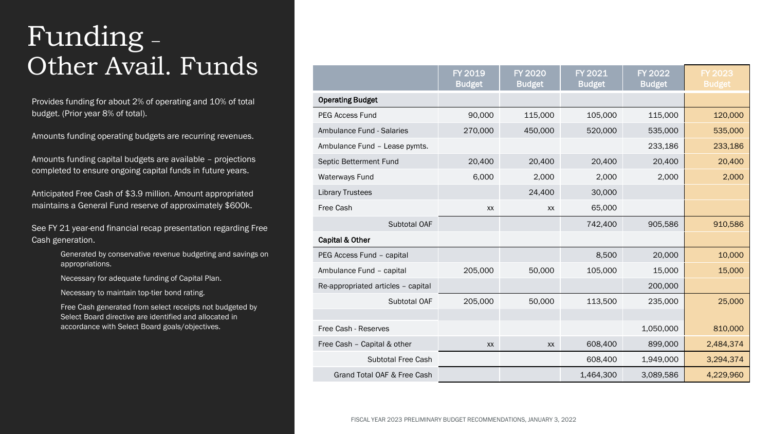## Funding – Other Avail. Funds

Provides funding for about 2% of operating and 10% of total budget. (Prior year 8% of total).

Amounts funding operating budgets are recurring revenues.

Amounts funding capital budgets are available – projections completed to ensure ongoing capital funds in future years.

Anticipated Free Cash of \$3.9 million. Amount appropriated maintains a General Fund reserve of approximately \$600k.

See FY 21 year-end financial recap presentation regarding Free Cash generation.

> Generated by conservative revenue budgeting and savings on appropriations.

Necessary for adequate funding of Capital Plan.

Necessary to maintain top-tier bond rating.

Free Cash generated from select receipts not budgeted by Select Board directive are identified and allocated in accordance with Select Board goals/objectives.

|                                    | FY 2019<br><b>Budget</b> | <b>FY 2020</b><br><b>Budget</b> | FY 2021<br><b>Budget</b> | FY 2022<br><b>Budget</b> | FY 2023<br><b>Budget</b> |
|------------------------------------|--------------------------|---------------------------------|--------------------------|--------------------------|--------------------------|
| <b>Operating Budget</b>            |                          |                                 |                          |                          |                          |
| <b>PEG Access Fund</b>             | 90,000                   | 115,000                         | 105,000                  | 115,000                  | 120,000                  |
| Ambulance Fund - Salaries          | 270,000                  | 450,000                         | 520,000                  | 535,000                  | 535,000                  |
| Ambulance Fund - Lease pymts.      |                          |                                 |                          | 233,186                  | 233,186                  |
| Septic Betterment Fund             | 20,400                   | 20,400                          | 20,400                   | 20,400                   | 20,400                   |
| Waterways Fund                     | 6,000                    | 2,000                           | 2,000                    | 2,000                    | 2,000                    |
| <b>Library Trustees</b>            |                          | 24,400                          | 30,000                   |                          |                          |
| Free Cash                          | <b>XX</b>                | XX                              | 65,000                   |                          |                          |
| Subtotal OAF                       |                          |                                 | 742,400                  | 905,586                  | 910,586                  |
| Capital & Other                    |                          |                                 |                          |                          |                          |
| PEG Access Fund - capital          |                          |                                 | 8,500                    | 20,000                   | 10,000                   |
| Ambulance Fund - capital           | 205,000                  | 50,000                          | 105,000                  | 15,000                   | 15,000                   |
| Re-appropriated articles - capital |                          |                                 |                          | 200,000                  |                          |
| Subtotal OAF                       | 205,000                  | 50,000                          | 113,500                  | 235,000                  | 25,000                   |
|                                    |                          |                                 |                          |                          |                          |
| Free Cash - Reserves               |                          |                                 |                          | 1,050,000                | 810,000                  |
| Free Cash - Capital & other        | XX                       | XX                              | 608,400                  | 899,000                  | 2,484,374                |
| <b>Subtotal Free Cash</b>          |                          |                                 | 608,400                  | 1,949,000                | 3,294,374                |
| Grand Total OAF & Free Cash        |                          |                                 | 1,464,300                | 3,089,586                | 4,229,960                |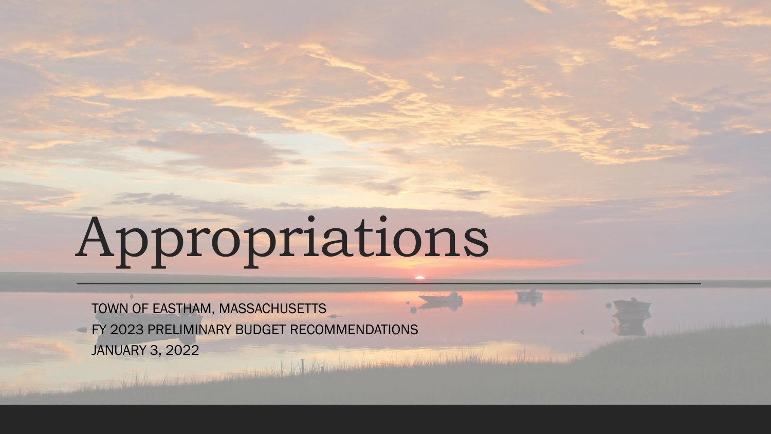# Appropriations

TOWN OF EASTHAM, MASSACHUSETTS FY 2023 PRELIMINARY BUDGET RECOMMENDATIONS JANUARY 3, 2022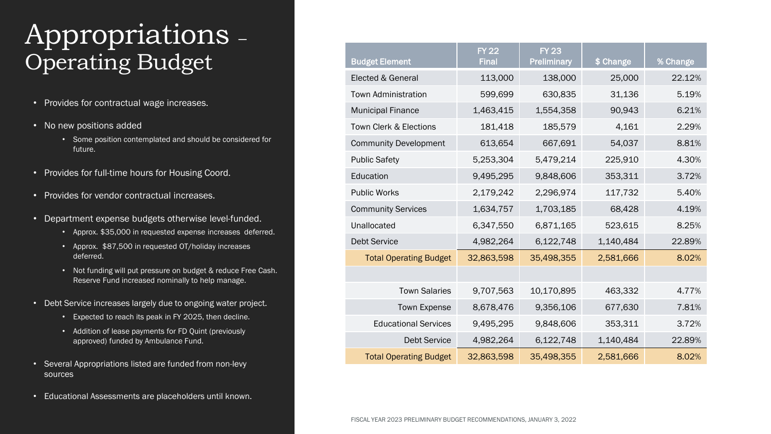### Appropriations – Operating Budget

- Provides for contractual wage increases.
- No new positions added
	- Some position contemplated and should be considered for future.
- Provides for full-time hours for Housing Coord.
- Provides for vendor contractual increases.
- Department expense budgets otherwise level-funded.
	- Approx. \$35,000 in requested expense increases deferred.
	- Approx. \$87,500 in requested OT/holiday increases deferred.
	- Not funding will put pressure on budget & reduce Free Cash. Reserve Fund increased nominally to help manage.
- Debt Service increases largely due to ongoing water project.
	- Expected to reach its peak in FY 2025, then decline.
	- Addition of lease payments for FD Quint (previously approved) funded by Ambulance Fund.
- Several Appropriations listed are funded from non-levy sources
- Educational Assessments are placeholders until known.

| <b>Budget Element</b>         | <b>FY 22</b><br><b>Final</b> | <b>FY 23</b><br>Preliminary | \$ Change | % Change |
|-------------------------------|------------------------------|-----------------------------|-----------|----------|
| Elected & General             | 113,000                      | 138,000                     | 25,000    | 22.12%   |
| <b>Town Administration</b>    | 599,699                      | 630,835                     | 31,136    | 5.19%    |
| <b>Municipal Finance</b>      | 1,463,415                    | 1,554,358                   | 90,943    | 6.21%    |
| Town Clerk & Elections        | 181,418                      | 185,579                     | 4,161     | 2.29%    |
| <b>Community Development</b>  | 613,654                      | 667,691                     | 54,037    | 8.81%    |
| <b>Public Safety</b>          | 5,253,304                    | 5,479,214                   | 225,910   | 4.30%    |
| Education                     | 9,495,295                    | 9,848,606                   | 353,311   | 3.72%    |
| <b>Public Works</b>           | 2,179,242                    | 2,296,974                   | 117,732   | 5.40%    |
| <b>Community Services</b>     | 1,634,757                    | 1,703,185                   | 68,428    | 4.19%    |
| Unallocated                   | 6,347,550                    | 6,871,165                   | 523,615   | 8.25%    |
| <b>Debt Service</b>           | 4,982,264                    | 6,122,748                   | 1,140,484 | 22.89%   |
| <b>Total Operating Budget</b> | 32,863,598                   | 35,498,355                  | 2,581,666 | 8.02%    |
|                               |                              |                             |           |          |
| <b>Town Salaries</b>          | 9,707,563                    | 10,170,895                  | 463,332   | 4.77%    |
| Town Expense                  | 8,678,476                    | 9,356,106                   | 677,630   | 7.81%    |
| <b>Educational Services</b>   | 9,495,295                    | 9,848,606                   | 353,311   | 3.72%    |
| <b>Debt Service</b>           | 4,982,264                    | 6,122,748                   | 1,140,484 | 22.89%   |
| <b>Total Operating Budget</b> | 32,863,598                   | 35,498,355                  | 2,581,666 | 8.02%    |

FISCAL YEAR 2023 PRELIMINARY BUDGET RECOMMENDATIONS, JANUARY 3, 2022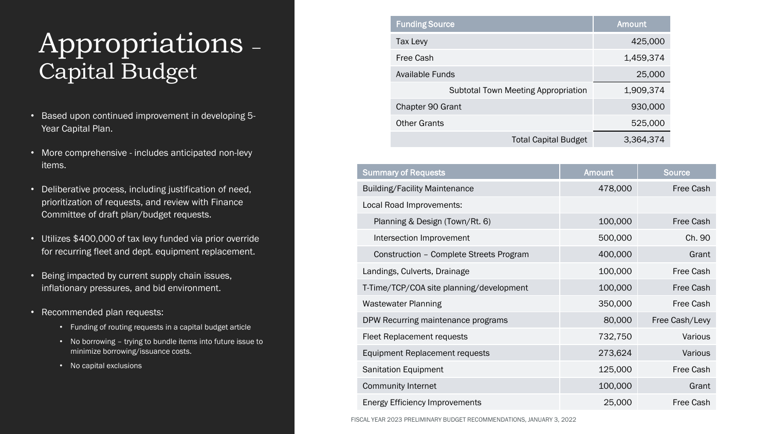### Appropriations – Capital Budget

- Based upon continued improvement in developing 5- Year Capital Plan.
- More comprehensive includes anticipated non-levy items.
- Deliberative process, including justification of need, prioritization of requests, and review with Finance Committee of draft plan/budget requests.
- Utilizes \$400,000 of tax levy funded via prior override for recurring fleet and dept. equipment replacement.
- Being impacted by current supply chain issues, inflationary pressures, and bid environment.
- Recommended plan requests:
	- Funding of routing requests in a capital budget article
	- No borrowing trying to bundle items into future issue to minimize borrowing/issuance costs.
	- No capital exclusions

| <b>Funding Source</b>                      | <b>Amount</b> |
|--------------------------------------------|---------------|
| Tax Levy                                   | 425,000       |
| Free Cash                                  | 1,459,374     |
| Available Funds                            | 25,000        |
| <b>Subtotal Town Meeting Appropriation</b> | 1,909,374     |
| Chapter 90 Grant                           | 930,000       |
| <b>Other Grants</b>                        | 525,000       |
| <b>Total Capital Budget</b>                | 3,364,374     |

| <b>Summary of Requests</b>               | <b>Amount</b> | <b>Source</b>  |
|------------------------------------------|---------------|----------------|
| <b>Building/Facility Maintenance</b>     | 478,000       | Free Cash      |
| Local Road Improvements:                 |               |                |
| Planning & Design (Town/Rt. 6)           | 100,000       | Free Cash      |
| Intersection Improvement                 | 500,000       | Ch. 90         |
| Construction - Complete Streets Program  | 400,000       | Grant          |
| Landings, Culverts, Drainage             | 100,000       | Free Cash      |
| T-Time/TCP/COA site planning/development | 100,000       | Free Cash      |
| <b>Wastewater Planning</b>               | 350,000       | Free Cash      |
| DPW Recurring maintenance programs       | 80,000        | Free Cash/Levy |
| Fleet Replacement requests               | 732,750       | Various        |
| Equipment Replacement requests           | 273,624       | Various        |
| Sanitation Equipment                     | 125,000       | Free Cash      |
| <b>Community Internet</b>                | 100,000       | Grant          |
| <b>Energy Efficiency Improvements</b>    | 25,000        | Free Cash      |

FISCAL YEAR 2023 PRELIMINARY BUDGET RECOMMENDATIONS, JANUARY 3, 2022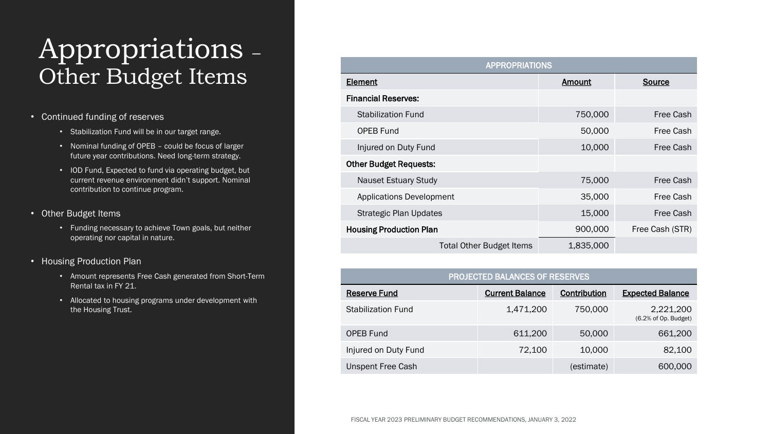### Appropriations – Other Budget Items

- Continued funding of reserves
	- Stabilization Fund will be in our target range.
	- Nominal funding of OPEB could be focus of larger future year contributions. Need long-term strategy.
	- IOD Fund, Expected to fund via operating budget, but current revenue environment didn't support. Nominal contribution to continue program.
- Other Budget Items
	- Funding necessary to achieve Town goals, but neither operating nor capital in nature.
- Housing Production Plan
	- Amount represents Free Cash generated from Short-Term Rental tax in FY 21.
	- Allocated to housing programs under development with the Housing Trust.

| <b>APPROPRIATIONS</b>           |               |                  |  |  |  |
|---------------------------------|---------------|------------------|--|--|--|
| <b>Element</b>                  | <b>Amount</b> | Source           |  |  |  |
| <b>Financial Reserves:</b>      |               |                  |  |  |  |
| <b>Stabilization Fund</b>       | 750,000       | Free Cash        |  |  |  |
| <b>OPEB Fund</b>                | 50,000        | Free Cash        |  |  |  |
| Injured on Duty Fund            | 10,000        | Free Cash        |  |  |  |
| <b>Other Budget Requests:</b>   |               |                  |  |  |  |
| <b>Nauset Estuary Study</b>     | 75,000        | <b>Free Cash</b> |  |  |  |
| <b>Applications Development</b> | 35,000        | Free Cash        |  |  |  |
| <b>Strategic Plan Updates</b>   | 15,000        | Free Cash        |  |  |  |
| <b>Housing Production Plan</b>  | 900,000       | Free Cash (STR)  |  |  |  |
| <b>Total Other Budget Items</b> | 1,835,000     |                  |  |  |  |

| PROJECTED BALANCES OF RESERVES |                        |              |                                   |  |  |
|--------------------------------|------------------------|--------------|-----------------------------------|--|--|
| <b>Reserve Fund</b>            | <b>Current Balance</b> | Contribution | <b>Expected Balance</b>           |  |  |
| Stabilization Fund             | 1,471,200              | 750,000      | 2,221,200<br>(6.2% of Op. Budget) |  |  |
| <b>OPEB Fund</b>               | 611,200                | 50,000       | 661,200                           |  |  |
| Injured on Duty Fund           | 72,100                 | 10,000       | 82,100                            |  |  |
| <b>Unspent Free Cash</b>       |                        | (estimate)   | 600,000                           |  |  |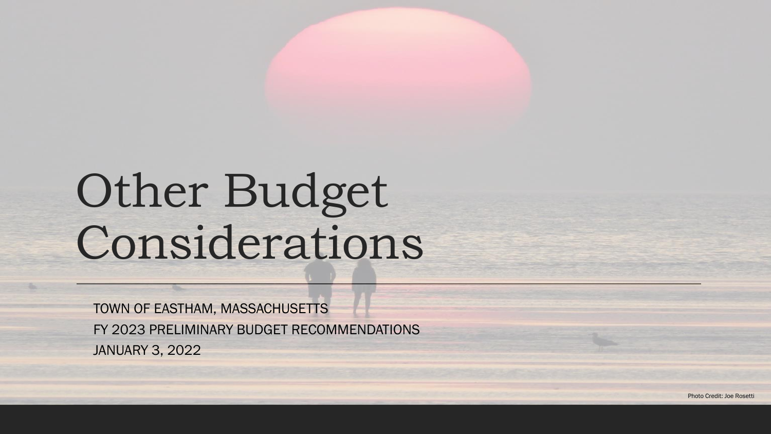# Other Budget Considerations

TOWN OF EASTHAM, MASSACHUSETTS FY 2023 PRELIMINARY BUDGET RECOMMENDATIONS JANUARY 3, 2022